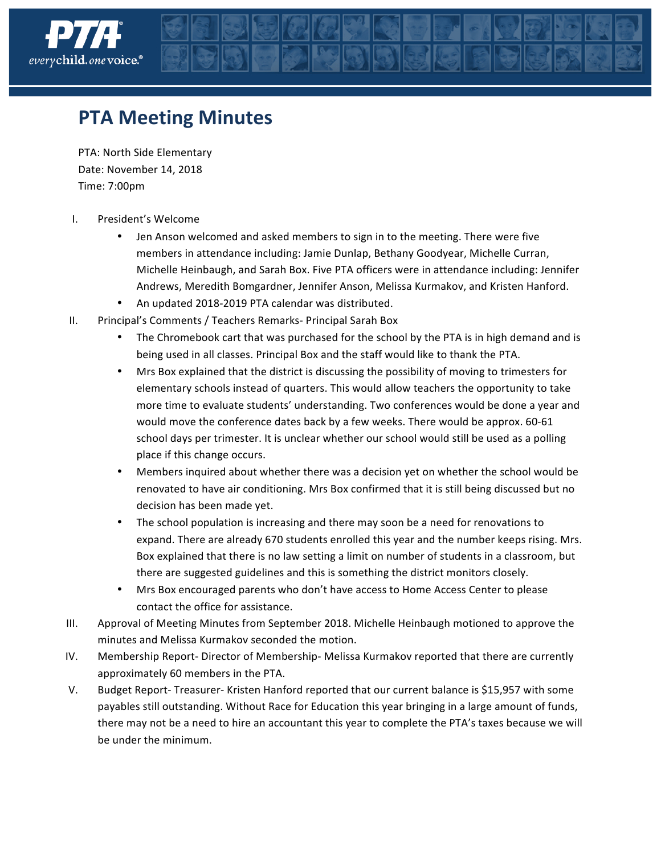

## **PTA Meeting Minutes**

PTA: North Side Elementary Date: November 14, 2018 Time: 7:00pm

- I. President's Welcome
	- Jen Anson welcomed and asked members to sign in to the meeting. There were five members in attendance including: Jamie Dunlap, Bethany Goodyear, Michelle Curran, Michelle Heinbaugh, and Sarah Box. Five PTA officers were in attendance including: Jennifer Andrews, Meredith Bomgardner, Jennifer Anson, Melissa Kurmakov, and Kristen Hanford.
	- An updated 2018-2019 PTA calendar was distributed.
- II. Principal's Comments / Teachers Remarks- Principal Sarah Box
	- The Chromebook cart that was purchased for the school by the PTA is in high demand and is being used in all classes. Principal Box and the staff would like to thank the PTA.
	- Mrs Box explained that the district is discussing the possibility of moving to trimesters for elementary schools instead of quarters. This would allow teachers the opportunity to take more time to evaluate students' understanding. Two conferences would be done a year and would move the conference dates back by a few weeks. There would be approx. 60-61 school days per trimester. It is unclear whether our school would still be used as a polling place if this change occurs.
	- Members inquired about whether there was a decision yet on whether the school would be renovated to have air conditioning. Mrs Box confirmed that it is still being discussed but no decision has been made yet.
	- The school population is increasing and there may soon be a need for renovations to expand. There are already 670 students enrolled this year and the number keeps rising. Mrs. Box explained that there is no law setting a limit on number of students in a classroom, but there are suggested guidelines and this is something the district monitors closely.
	- Mrs Box encouraged parents who don't have access to Home Access Center to please contact the office for assistance.
- III. Approval of Meeting Minutes from September 2018. Michelle Heinbaugh motioned to approve the minutes and Melissa Kurmakov seconded the motion.
- IV. Membership Report- Director of Membership- Melissa Kurmakov reported that there are currently approximately 60 members in the PTA.
- V. Budget Report- Treasurer- Kristen Hanford reported that our current balance is \$15,957 with some payables still outstanding. Without Race for Education this year bringing in a large amount of funds, there may not be a need to hire an accountant this year to complete the PTA's taxes because we will be under the minimum.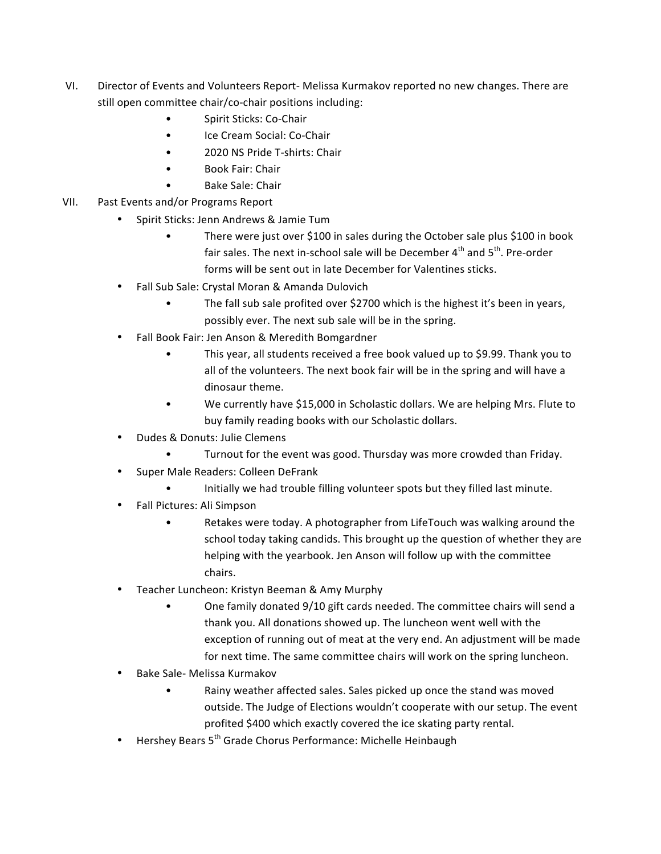- VI. Director of Events and Volunteers Report- Melissa Kurmakov reported no new changes. There are still open committee chair/co-chair positions including:
	- Spirit Sticks: Co-Chair
	- Ice Cream Social: Co-Chair
	- 2020 NS Pride T-shirts: Chair
	- Book Fair: Chair
	- Bake Sale: Chair
- VII. Past Events and/or Programs Report
	- Spirit Sticks: Jenn Andrews & Jamie Tum
		- There were just over \$100 in sales during the October sale plus \$100 in book fair sales. The next in-school sale will be December  $4^{th}$  and  $5^{th}$ . Pre-order forms will be sent out in late December for Valentines sticks.
	- Fall Sub Sale: Crystal Moran & Amanda Dulovich
		- The fall sub sale profited over \$2700 which is the highest it's been in years, possibly ever. The next sub sale will be in the spring.
	- Fall Book Fair: Jen Anson & Meredith Bomgardner
		- This year, all students received a free book valued up to \$9.99. Thank you to all of the volunteers. The next book fair will be in the spring and will have a dinosaur theme.
		- We currently have \$15,000 in Scholastic dollars. We are helping Mrs. Flute to buy family reading books with our Scholastic dollars.
	- Dudes & Donuts: Julie Clemens
		- Turnout for the event was good. Thursday was more crowded than Friday.
	- Super Male Readers: Colleen DeFrank
		- Initially we had trouble filling volunteer spots but they filled last minute.
	- Fall Pictures: Ali Simpson
		- Retakes were today. A photographer from LifeTouch was walking around the school today taking candids. This brought up the question of whether they are helping with the yearbook. Jen Anson will follow up with the committee chairs.
	- Teacher Luncheon: Kristyn Beeman & Amy Murphy
		- One family donated 9/10 gift cards needed. The committee chairs will send a thank you. All donations showed up. The luncheon went well with the exception of running out of meat at the very end. An adjustment will be made for next time. The same committee chairs will work on the spring luncheon.
	- Bake Sale- Melissa Kurmakov
		- Rainy weather affected sales. Sales picked up once the stand was moved outside. The Judge of Elections wouldn't cooperate with our setup. The event profited \$400 which exactly covered the ice skating party rental.
	- Hershey Bears 5<sup>th</sup> Grade Chorus Performance: Michelle Heinbaugh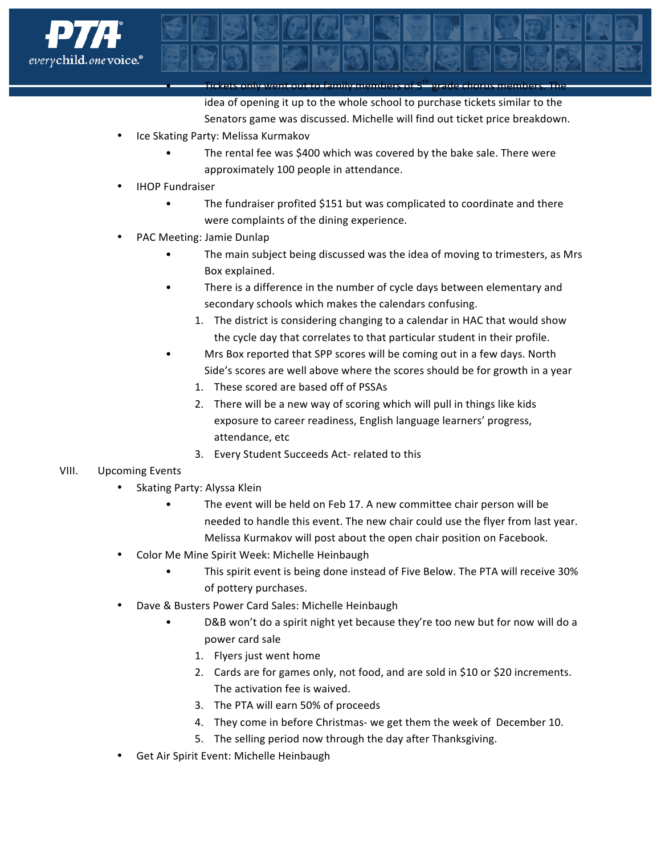

• Tickets only went out to family members of 5th grade chorus members. The idea of opening it up to the whole school to purchase tickets similar to the Senators game was discussed. Michelle will find out ticket price breakdown.

- Ice Skating Party: Melissa Kurmakov
	- The rental fee was \$400 which was covered by the bake sale. There were approximately 100 people in attendance.
- **IHOP Fundraiser** 
	- The fundraiser profited \$151 but was complicated to coordinate and there were complaints of the dining experience.
- PAC Meeting: Jamie Dunlap
	- The main subject being discussed was the idea of moving to trimesters, as Mrs Box explained.
	- There is a difference in the number of cycle days between elementary and secondary schools which makes the calendars confusing.
		- 1. The district is considering changing to a calendar in HAC that would show the cycle day that correlates to that particular student in their profile.
	- Mrs Box reported that SPP scores will be coming out in a few days. North Side's scores are well above where the scores should be for growth in a year
		- 1. These scored are based off of PSSAs
		- 2. There will be a new way of scoring which will pull in things like kids exposure to career readiness, English language learners' progress, attendance, etc
		- 3. Every Student Succeeds Act- related to this

## VIII. Upcoming Events

- Skating Party: Alyssa Klein
	- The event will be held on Feb 17. A new committee chair person will be needed to handle this event. The new chair could use the flyer from last year. Melissa Kurmakov will post about the open chair position on Facebook.
- Color Me Mine Spirit Week: Michelle Heinbaugh
	- This spirit event is being done instead of Five Below. The PTA will receive 30% of pottery purchases.
- Dave & Busters Power Card Sales: Michelle Heinbaugh
	- D&B won't do a spirit night yet because they're too new but for now will do a power card sale
		- 1. Flyers just went home
		- 2. Cards are for games only, not food, and are sold in \$10 or \$20 increments. The activation fee is waived.
		- 3. The PTA will earn 50% of proceeds
		- 4. They come in before Christmas- we get them the week of December 10.
		- 5. The selling period now through the day after Thanksgiving.
- Get Air Spirit Event: Michelle Heinbaugh